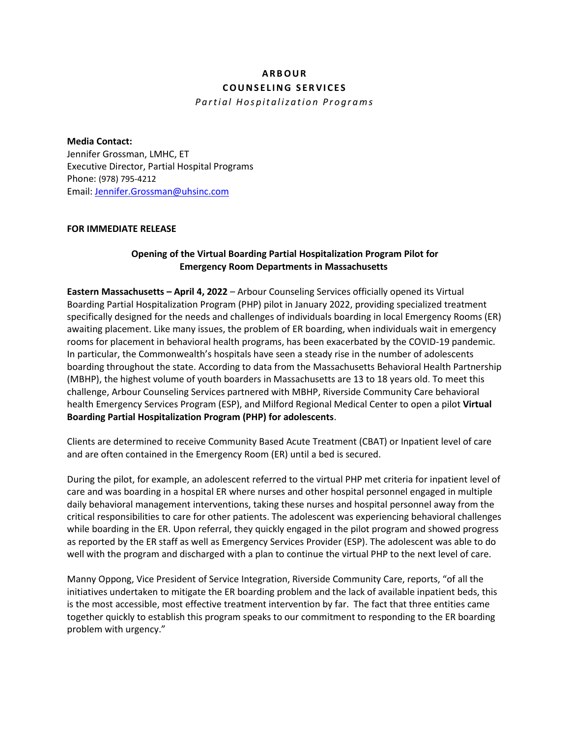# **A R B O U R C O U N S E L I N G S E R V I C E S**

*P a r t i a l H o s p i t a l i z a t i o n P r o g r a m s*

#### **Media Contact:**

Jennifer Grossman, LMHC, ET Executive Director, Partial Hospital Programs Phone: (978) 795-4212 Email: [Jennifer.Grossman@uhsinc.com](mailto:Jennifer.Grossman@uhsinc.com)

#### **FOR IMMEDIATE RELEASE**

## **Opening of the Virtual Boarding Partial Hospitalization Program Pilot for Emergency Room Departments in Massachusetts**

**Eastern Massachusetts – April 4, 2022** – Arbour Counseling Services officially opened its Virtual Boarding Partial Hospitalization Program (PHP) pilot in January 2022, providing specialized treatment specifically designed for the needs and challenges of individuals boarding in local Emergency Rooms (ER) awaiting placement. Like many issues, the problem of ER boarding, when individuals wait in emergency rooms for placement in behavioral health programs, has been exacerbated by the COVID-19 pandemic. In particular, the Commonwealth's hospitals have seen a steady rise in the number of adolescents boarding throughout the state. According to data from the Massachusetts Behavioral Health Partnership (MBHP), the highest volume of youth boarders in Massachusetts are 13 to 18 years old. To meet this challenge, Arbour Counseling Services partnered with MBHP, Riverside Community Care behavioral health Emergency Services Program (ESP), and Milford Regional Medical Center to open a pilot **Virtual Boarding Partial Hospitalization Program (PHP) for adolescents**.

Clients are determined to receive Community Based Acute Treatment (CBAT) or Inpatient level of care and are often contained in the Emergency Room (ER) until a bed is secured.

During the pilot, for example, an adolescent referred to the virtual PHP met criteria for inpatient level of care and was boarding in a hospital ER where nurses and other hospital personnel engaged in multiple daily behavioral management interventions, taking these nurses and hospital personnel away from the critical responsibilities to care for other patients. The adolescent was experiencing behavioral challenges while boarding in the ER. Upon referral, they quickly engaged in the pilot program and showed progress as reported by the ER staff as well as Emergency Services Provider (ESP). The adolescent was able to do well with the program and discharged with a plan to continue the virtual PHP to the next level of care.

Manny Oppong, Vice President of Service Integration, Riverside Community Care, reports, "of all the initiatives undertaken to mitigate the ER boarding problem and the lack of available inpatient beds, this is the most accessible, most effective treatment intervention by far. The fact that three entities came together quickly to establish this program speaks to our commitment to responding to the ER boarding problem with urgency."